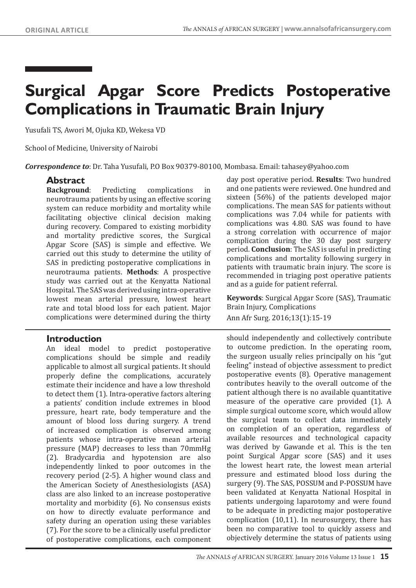# **Surgical Apgar Score Predicts Postoperative Complications in Traumatic Brain Injury**

Yusufali TS, Awori M, Ojuka KD, Wekesa VD

School of Medicine, University of Nairobi

*Correspondence to*: Dr. Taha Yusufali, P.O Box 90379-80100, Mombasa. Email: tahasey@yahoo.com

# **Abstract**

**Background**: Predicting complications in neurotrauma patients by using an effective scoring system can reduce morbidity and mortality while facilitating objective clinical decision making during recovery. Compared to existing morbidity and mortality predictive scores, the Surgical Apgar Score (SAS) is simple and effective. We carried out this study to determine the utility of SAS in predicting postoperative complications in neurotrauma patients. **Methods**: A prospective study was carried out at the Kenyatta National Hospital. The SAS was derived using intra-operative lowest mean arterial pressure, lowest heart rate and total blood loss for each patient. Major complications were determined during the thirty

## **Introduction**

An ideal model to predict postoperative complications should be simple and readily applicable to almost all surgical patients. It should properly define the complications, accurately estimate their incidence and have a low threshold to detect them (1). Intra-operative factors altering a patients' condition include extremes in blood pressure, heart rate, body temperature and the amount of blood loss during surgery. A trend of increased complication is observed among patients whose intra-operative mean arterial pressure (MAP) decreases to less than 70mmHg (2). Bradycardia and hypotension are also independently linked to poor outcomes in the recovery period (2-5). A higher wound class and the American Society of Anesthesiologists (ASA) class are also linked to an increase postoperative mortality and morbidity (6). No consensus exists on how to directly evaluate performance and safety during an operation using these variables (7). For the score to be a clinically useful predictor of postoperative complications, each component

day post operative period. **Results**: Two hundred and one patients were reviewed. One hundred and sixteen (56%) of the patients developed major complications. The mean SAS for patients without complications was 7.04 while for patients with complications was 4.80. SAS was found to have a strong correlation with occurrence of major complication during the 30 day post surgery period. **Conclusion**: The SAS is useful in predicting complications and mortality following surgery in patients with traumatic brain injury. The score is recommended in triaging post operative patients and as a guide for patient referral.

**Keywords**: Surgical Apgar Score (SAS), Traumatic Brain Injury, Complications

Ann Afr Surg. 2016;13(1):15-19

should independently and collectively contribute to outcome prediction. In the operating room, the surgeon usually relies principally on his "gut feeling" instead of objective assessment to predict postoperative events (8). Operative management contributes heavily to the overall outcome of the patient although there is no available quantitative measure of the operative care provided (1). A simple surgical outcome score, which would allow the surgical team to collect data immediately on completion of an operation, regardless of available resources and technological capacity was derived by Gawande et al. This is the ten point Surgical Apgar score (SAS) and it uses the lowest heart rate, the lowest mean arterial pressure and estimated blood loss during the surgery (9). The SAS, POSSUM and P-POSSUM have been validated at Kenyatta National Hospital in patients undergoing laparotomy and were found to be adequate in predicting major postoperative complication (10,11). In neurosurgery, there has been no comparative tool to quickly assess and objectively determine the status of patients using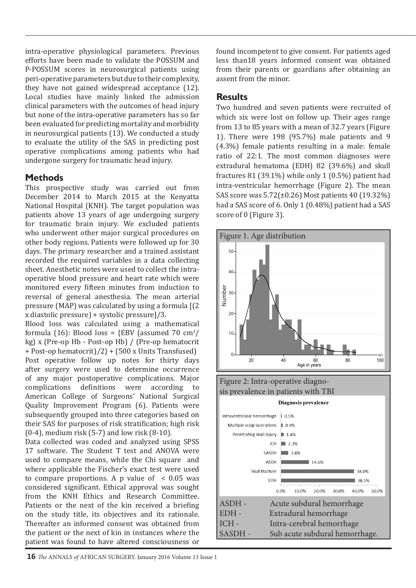intra-operative physiological parameters. Previous efforts have been made to validate the POSSUM and P-POSSUM scores in neurosurgical patients using peri-operative parameters but due to their complexity, they have not gained widespread acceptance (12). Local studies have mainly linked the admission clinical parameters with the outcomes of head injury but none of the intra-operative parameters has so far been evaluated for predicting mortality and morbidity in neurosurgical patients (13). We conducted a study to evaluate the utility of the SAS in predicting post operative complications among patients who had undergone surgery for traumatic head injury.

# **Methods**

This prospective study was carried out from December 2014 to March 2015 at the Kenyatta National Hospital (KNH). The target population was patients above 13 years of age undergoing surgery for traumatic brain injury. We excluded patients who underwent other major surgical procedures on other body regions. Patients were followed up for 30 days. The primary researcher and a trained assistant recorded the required variables in a data collecting sheet. Anesthetic notes were used to collect the intraoperative blood pressure and heart rate which were monitored every fifteen minutes from induction to reversal of general anesthesia. The mean arterial pressure (MAP) was calculated by using a formula [(2 x diastolic pressure) + systolic pressure]/3.

Blood loss was calculated using a mathematical formula (16): Blood loss =  $\{EBV \text{ (assumed 70 cm}^3/\}$ kg) x (Pre-op Hb - Post-op Hb) / (Pre-op hematocrit + Post-op hematocrit)/2} + (500 x Units Transfused) Post operative follow up notes for thirty days after surgery were used to determine occurrence of any major postoperative complications. Major complications definitions were according to American College of Surgeons' National Surgical Quality Improvement Program (6). Patients were subsequently grouped into three categories based on their SAS for purposes of risk stratification; high risk (0-4), medium risk (5-7) and low risk (8-10).

Data collected was coded and analyzed using SPSS 17 software. The Student T test and ANOVA were used to compare means, while the Chi square and where applicable the Fischer's exact test were used to compare proportions. A p value of  $\leq 0.05$  was considered significant. Ethical approval was sought from the KNH Ethics and Research Committee. Patients or the next of the kin received a briefing on the study title, its objectives and its rationale. Thereafter an informed consent was obtained from the patient or the next of kin in instances where the patient was found to have altered consciousness or

found incompetent to give consent. For patients aged less than18 years informed consent was obtained from their parents or guardians after obtaining an assent from the minor.

# **Results**

Two hundred and seven patients were recruited of which six were lost on follow up. Their ages range from 13 to 85 years with a mean of 32.7 years (Figure 1). There were 198 (95.7%) male patients and 9 (4.3%) female patients resulting in a male: female ratio of 22:1. The most common diagnoses were extradural hematoma (EDH) 82 (39.6%) and skull fractures 81 (39.1%) while only 1 (0.5%) patient had intra-ventricular hemorrhage (Figure 2). The mean SAS score was 5.72(±0.26) Most patients 40 (19.32%) had a SAS score of 6. Only 1 (0.48%) patient had a SAS score of 0 (Figure 3).

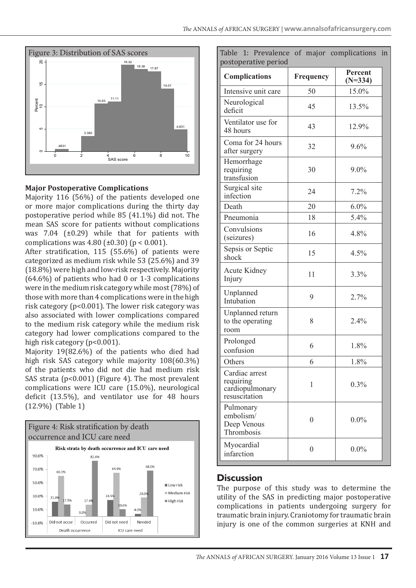

#### **Major Postoperative Complications**

Majority 116 (56%) of the patients developed one or more major complications during the thirty day postoperative period while 85 (41.1%) did not. The mean SAS score for patients without complications was 7.04 (±0.29) while that for patients with complications was  $4.80$  ( $\pm 0.30$ ) (p < 0.001).

After stratification, 115 (55.6%) of patients were categorized as medium risk while 53 (25.6%) and 39 (18.8%) were high and low-risk respectively. Majority (64.6%) of patients who had 0 or 1-3 complications were in the medium risk category while most (78%) of those with more than 4 complications were in the high risk category (p<0.001). The lower risk category was also associated with lower complications compared to the medium risk category while the medium risk category had lower complications compared to the high risk category (p<0.001).

Majority 19(82.6%) of the patients who died had high risk SAS category while majority 108(60.3%) of the patients who did not die had medium risk SAS strata (p<0.001) (Figure 4). The most prevalent complications were ICU care (15.0%), neurological deficit (13.5%), and ventilator use for 48 hours (12.9%) (Table 1)



| Table 1: Prevalence of major complications<br>postoperative period |              |                      | in |
|--------------------------------------------------------------------|--------------|----------------------|----|
| <b>Complications</b>                                               | Frequency    | Percent<br>$(N=334)$ |    |
| Intensive unit care                                                | 50           | 15.0%                |    |
| Neurological<br>deficit                                            | 45           | 13.5%                |    |
| Ventilator use for<br>48 hours                                     | 43           | 12.9%                |    |
| Coma for 24 hours<br>after surgery                                 | 32           | $9.6\%$              |    |
| Hemorrhage<br>requiring<br>transfusion                             | 30           | $9.0\%$              |    |
| Surgical site<br>infection                                         | 24           | 7.2%                 |    |
| Death                                                              | 20           | $6.0\%$              |    |
| Pneumonia                                                          | 18           | 5.4%                 |    |
| Convulsions<br>(seizures)                                          | 16           | 4.8%                 |    |
| Sepsis or Septic<br>shock                                          | 15           | 4.5%                 |    |
| <b>Acute Kidney</b><br>Injury                                      | 11           | 3.3%                 |    |
| Unplanned<br>Intubation                                            | 9            | 2.7%                 |    |
| Unplanned return<br>to the operating<br>room                       | 8            | 2.4%                 |    |
| Prolonged<br>confusion                                             | 6            | 1.8%                 |    |
| Others                                                             | 6            | 1.8%                 |    |
| Cardiac arrest<br>requiring<br>cardiopulmonary<br>resuscitation    | 1            | 0.3%                 |    |
| Pulmonary<br>embolism/<br>Deep Venous<br>Thrombosis                | $\mathbf{0}$ | $0.0\%$              |    |
| Myocardial<br>infarction                                           | $\mathbf{0}$ | $0.0\%$              |    |

#### **Discussion**

The purpose of this study was to determine the utility of the SAS in predicting major postoperative complications in patients undergoing surgery for traumatic brain injury. Craniotomy for traumatic brain injury is one of the common surgeries at KNH and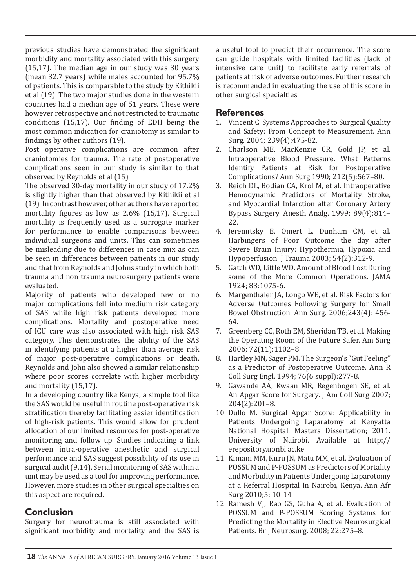previous studies have demonstrated the significant morbidity and mortality associated with this surgery (15,17). The median age in our study was 30 years (mean 32.7 years) while males accounted for 95.7% of patients. This is comparable to the study by Kithikii et al (19). The two major studies done in the western countries had a median age of 51 years. These were however retrospective and not restricted to traumatic conditions (15,17). Our finding of EDH being the most common indication for craniotomy is similar to findings by other authors (19).

Post operative complications are common after craniotomies for trauma. The rate of postoperative complications seen in our study is similar to that observed by Reynolds et al (15).

The observed 30-day mortality in our study of 17.2% is slightly higher than that observed by Kithikii et al (19). In contrast however, other authors have reported mortality figures as low as 2.6% (15,17). Surgical mortality is frequently used as a surrogate marker for performance to enable comparisons between individual surgeons and units. This can sometimes be misleading due to differences in case mix as can be seen in differences between patients in our study and that from Reynolds and Johns study in which both trauma and non trauma neurosurgery patients were evaluated.

Majority of patients who developed few or no major complications fell into medium risk category of SAS while high risk patients developed more complications. Mortality and postoperative need of ICU care was also associated with high risk SAS category. This demonstrates the ability of the SAS in identifying patients at a higher than average risk of major post-operative complications or death. Reynolds and John also showed a similar relationship where poor scores correlate with higher morbidity and mortality (15,17).

In a developing country like Kenya, a simple tool like the SAS would be useful in routine post-operative risk stratification thereby facilitating easier identification of high-risk patients. This would allow for prudent allocation of our limited resources for post-operative monitoring and follow up. Studies indicating a link between intra-operative anesthetic and surgical performance and SAS suggest possibility of its use in surgical audit (9,14). Serial monitoring of SAS within a unit may be used as a tool for improving performance. However, more studies in other surgical specialties on this aspect are required.

## **Conclusion**

Surgery for neurotrauma is still associated with significant morbidity and mortality and the SAS is a useful tool to predict their occurrence. The score can guide hospitals with limited facilities (lack of intensive care unit) to facilitate early referrals of patients at risk of adverse outcomes. Further research is recommended in evaluating the use of this score in other surgical specialties.

#### **References**

- 1. Vincent C. Systems Approaches to Surgical Quality and Safety: From Concept to Measurement. Ann Surg. 2004; 239(4):475-82.
- 2. Charlson ME, MacKenzie CR, Gold JP, et al. Intraoperative Blood Pressure. What Patterns Identify Patients at Risk for Postoperative Complications? Ann Surg 1990; 212(5):567–80.
- 3. Reich DL, Bodian CA, Krol M, et al. Intraoperative Hemodynamic Predictors of Mortality, Stroke, and Myocardial Infarction after Coronary Artery Bypass Surgery. Anesth Analg. 1999; 89(4):814– 22.
- 4. Jeremitsky E, Omert L, Dunham CM, et al. Harbingers of Poor Outcome the day after Severe Brain Injury: Hypothermia, Hypoxia and Hypoperfusion. J Trauma 2003; 54(2):312-9.
- 5. Gatch WD, Little WD. Amount of Blood Lost During some of the More Common Operations. JAMA 1924; 83:1075-6.
- 6. Margenthaler JA, Longo WE, et al. Risk Factors for Adverse Outcomes Following Surgery for Small Bowel Obstruction. Ann Surg. 2006;243(4): 456- 64.
- 7. Greenberg CC, Roth EM, Sheridan TB, et al. Making the Operating Room of the Future Safer. Am Surg 2006; 72(11):1102–8.
- 8. Hartley MN, Sager PM. The Surgeon's "Gut Feeling" as a Predictor of Postoperative Outcome. Ann R Coll Surg Engl. 1994; 76(6 suppl):277-8.
- 9. Gawande AA, Kwaan MR, Regenbogen SE, et al. An Apgar Score for Surgery. J Am Coll Surg 2007; 204(2):201–8.
- 10. Dullo M. Surgical Apgar Score: Applicability in Patients Undergoing Laparatomy at Kenyatta National Hospital, Masters Dissertation; 2011. University of Nairobi. Available at http:// erepository.uonbi.ac.ke
- 11. Kimani MM, Kiiru JN, Matu MM, et al. Evaluation of POSSUM and P-POSSUM as Predictors of Mortality and Morbidity in Patients Undergoing Laparotomy at a Referral Hospital In Nairobi, Kenya. Ann Afr Surg 2010;5: 10-14
- 12. Ramesh VJ, Rao GS, Guha A, et al. Evaluation of POSSUM and P-POSSUM Scoring Systems for Predicting the Mortality in Elective Neurosurgical Patients. Br J Neurosurg. 2008; 22:275–8.